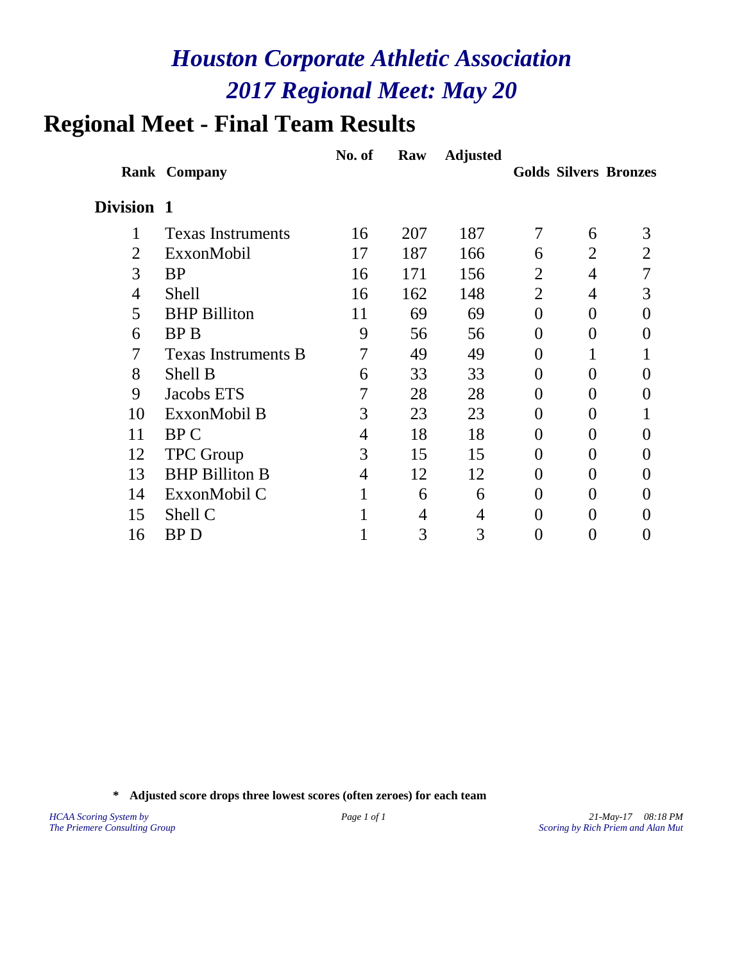### **Regional Meet - Final Team Results**

|                |                            | No. of | Raw | <b>Adjusted</b> |                   |                |                              |
|----------------|----------------------------|--------|-----|-----------------|-------------------|----------------|------------------------------|
|                | <b>Rank Company</b>        |        |     |                 |                   |                | <b>Golds Silvers Bronzes</b> |
| Division 1     |                            |        |     |                 |                   |                |                              |
| 1              | <b>Texas Instruments</b>   | 16     | 207 | 187             | 7                 | 6              | 3                            |
| 2              | ExxonMobil                 | 17     | 187 | 166             | 6                 | 2              | 2                            |
| 3              | <b>BP</b>                  | 16     | 171 | 156             | 2                 | 4              |                              |
| $\overline{4}$ | <b>Shell</b>               | 16     | 162 | 148             | $\overline{2}$    | 4              | 3                            |
| 5              | <b>BHP Billiton</b>        | 11     | 69  | 69              | $\theta$          | $\theta$       |                              |
| 6              | <b>BPB</b>                 | 9      | 56  | 56              | $\Omega$          | $\theta$       |                              |
| 7              | <b>Texas Instruments B</b> | 7      | 49  | 49              | $\Omega$          |                |                              |
| 8              | Shell B                    | 6      | 33  | 33              | 0                 | $\theta$       |                              |
| 9              | Jacobs ETS                 |        | 28  | 28              | $\theta$          | $\theta$       |                              |
| 10             | ExxonMobil B               | 3      | 23  | 23              | 0                 | $\theta$       |                              |
| 11             | BP C                       | 4      | 18  | 18              | $\theta$          | $\theta$       | 0                            |
| 12             | <b>TPC</b> Group           | 3      | 15  | 15              | $\Omega$          | $\theta$       |                              |
| 13             | <b>BHP Billiton B</b>      | 4      | 12  | 12              | 0                 | $\theta$       |                              |
| 14             | ExxonMobil C               | 1      | 6   | 6               | 0                 | 0              |                              |
| 15             | Shell C                    |        | 4   | 4               | $\mathbf{\Omega}$ | 0              |                              |
| 16             | <b>BPD</b>                 |        | 3   | 3               | $\mathbf{0}$      | $\overline{0}$ |                              |

**\* Adjusted score drops three lowest scores (often zeroes) for each team**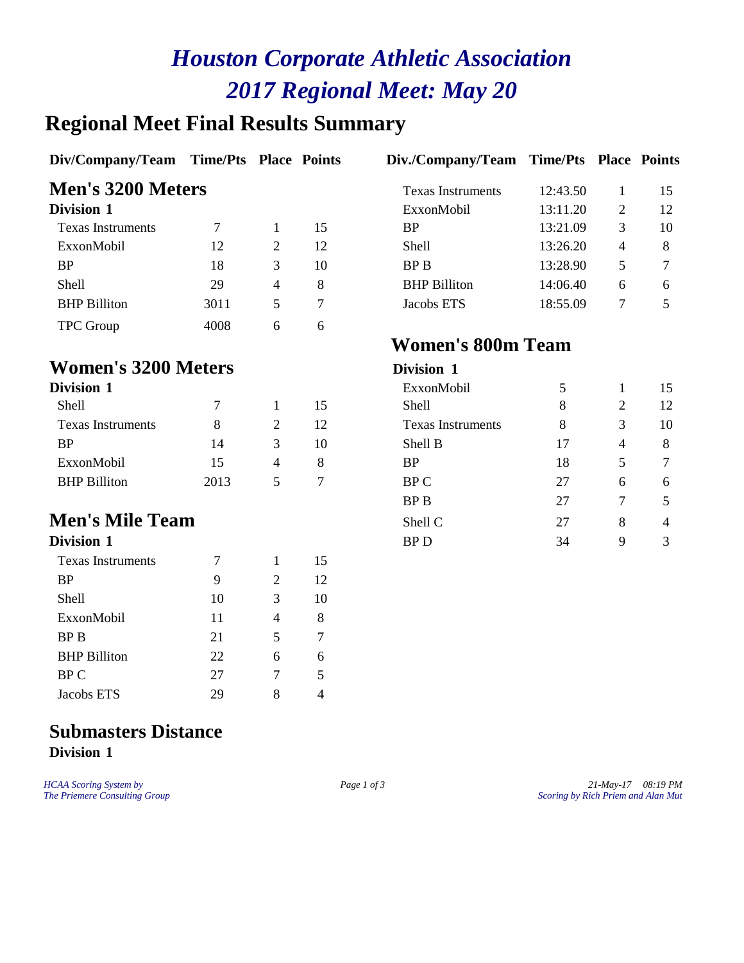### **Regional Meet Final Results Summary**

| Div/Company/Team Time/Pts Place Points |      |   |    | Div./Company/Team Time/Pts Place Points |          |   |    |
|----------------------------------------|------|---|----|-----------------------------------------|----------|---|----|
| Men's 3200 Meters                      |      |   |    | <b>Texas Instruments</b>                | 12:43.50 |   | 15 |
| Division 1                             |      |   |    | ExxonMobil                              | 13:11.20 | 2 | 12 |
| <b>Texas Instruments</b>               |      |   | 15 | <b>BP</b>                               | 13:21.09 | 3 | 10 |
| ExxonMobil                             | 12   | 2 | 12 | <b>Shell</b>                            | 13:26.20 | 4 | 8  |
| <b>BP</b>                              | 18   | 3 | 10 | BP B                                    | 13:28.90 | 5 | 7  |
| <b>Shell</b>                           | 29   | 4 | 8  | <b>BHP</b> Billiton                     | 14:06.40 | 6 | 6  |
| <b>BHP</b> Billiton                    | 3011 | 5 | 7  | Jacobs ETS                              | 18:55.09 | 7 |    |
| <b>TPC</b> Group                       | 4008 | 6 | 6  |                                         |          |   |    |
|                                        |      |   |    | <b>Women's 800m Team</b>                |          |   |    |
| <b>Women's 3200 Meters</b>             |      |   |    | Division 1                              |          |   |    |
| Division 1                             |      |   |    | ExxonMobil                              | 5        |   | 15 |

| лукции т            |      |   |     |
|---------------------|------|---|-----|
| Shell               |      |   | 15  |
| Texas Instruments   | x    | 2 | 12. |
| <b>BP</b>           | 14   | 3 | 10  |
| ExxonMobil          | 15   |   | x   |
| <b>BHP Billiton</b> | 2013 | 5 |     |

# **Men's Mile Team**

| Division 1               |    |   |    |
|--------------------------|----|---|----|
| <b>Texas Instruments</b> |    | 1 | 15 |
| BP                       | 9  | 2 | 12 |
| Shell                    | 10 | 3 | 10 |
| ExxonMobil               | 11 |   | 8  |
| BP B                     | 21 | 5 |    |
| <b>BHP</b> Billiton      | 22 | 6 | 6  |
| <b>BPC</b>               | 27 |   | 5  |
| Jacobs ETS               | 29 | 8 |    |

| <b>Division 1</b>        |      |   |    | ExxonMobil               |    |   | 15             |
|--------------------------|------|---|----|--------------------------|----|---|----------------|
| Shell                    |      |   | 15 | Shell                    | 8  | 2 | 12             |
| <b>Texas Instruments</b> | 8    | 2 | 12 | <b>Texas Instruments</b> | 8  | 3 | 10             |
| <b>BP</b>                | 14   | 3 | 10 | Shell B                  | 17 | 4 | 8              |
| ExxonMobil               | 15   | 4 | 8  | <b>BP</b>                | 18 | 5 | 7              |
| <b>BHP</b> Billiton      | 2013 | 5 | 7  | BP C                     | 27 | 6 | 6              |
|                          |      |   |    | <b>BPB</b>               | 27 |   | 5              |
| <b>Men's Mile Team</b>   |      |   |    | Shell C                  | 27 | 8 | $\overline{4}$ |
| Division 1               |      |   |    | <b>BPD</b>               | 34 | 9 | 3              |

#### **Submasters Distance Division 1**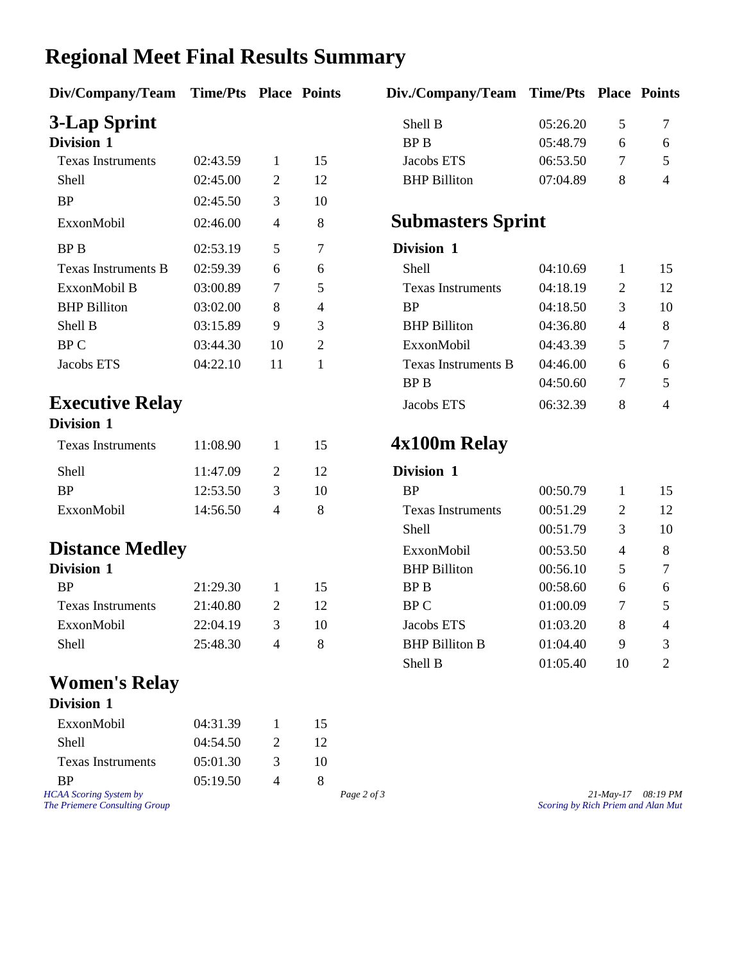### **Regional Meet Final Results Summary**

| Div/Company/Team Time/Pts Place Points |          |  | Div./Company/Team Time/Pts Place Poin |          |        |  |
|----------------------------------------|----------|--|---------------------------------------|----------|--------|--|
| 3-Lap Sprint                           |          |  | Shell B                               | 05:26.20 | $\sim$ |  |
| <b>Division 1</b>                      |          |  | BP B                                  | 05:48.79 |        |  |
| <b>Texas Instruments</b>               | 02:43.59 |  | Jacobs ETS                            | 06:53.50 |        |  |

| 1 07149 1119 (1 011101169  | . <i>. .</i> |    | ∸              |
|----------------------------|--------------|----|----------------|
| Shell                      | 02:45.00     | 2  | 12             |
| <b>BP</b>                  | 02:45.50     | 3  | 10             |
| ExxonMobil                 | 02:46.00     | 4  | 8              |
| <b>BPB</b>                 | 02:53.19     | 5  | 7              |
| <b>Texas Instruments B</b> | 02:59.39     | 6  | 6              |
| ExxonMobil B               | 03:00.89     | 7  | 5              |
| <b>BHP Billiton</b>        | 03:02.00     | 8  | 4              |
| Shell B                    | 03:15.89     | 9  | 3              |
| <b>BPC</b>                 | 03:44.30     | 10 | $\overline{2}$ |
| Jacobs ETS                 | 04:22.10     | 11 |                |

#### **Division 1**

| <b>Texas Instruments</b> | 11:08.90 | 15. | 4x100m            |
|--------------------------|----------|-----|-------------------|
| Shell                    | 11:47.09 | 12  | Division 1        |
| <b>RP</b>                | 12:53.50 | 10  | <b>BP</b>         |
| ExxonMobil               | 14:56.50 |     | <b>Texas Inst</b> |

#### **Distance Medley**

| 21:29.30 |               | 15 |
|----------|---------------|----|
| 21:40.80 | $\mathcal{D}$ | 12 |
| 22:04.19 | 3             | 10 |
| 25:48.30 |               |    |
|          |               |    |

#### **Women's Relay**

| Division 1               |          |               |    |
|--------------------------|----------|---------------|----|
| ExxonMobil               | 04:31.39 |               | 15 |
| Shell                    | 04:54.50 | $\mathcal{D}$ | 12 |
| <b>Texas Instruments</b> | 05:01.30 | 3             | 10 |
| <b>RP</b>                | 05:19.50 |               |    |
| ICAA Scoring System by   |          |               |    |

| iv/Company/Team Time/Pts Place Points |          |    | Div./Company/Team Time/Pts Place Points |          |   |  |
|---------------------------------------|----------|----|-----------------------------------------|----------|---|--|
| -Lap Sprint                           |          |    | Shell B                                 | 05:26.20 | 5 |  |
| ivision 1                             |          |    | BP B                                    | 05:48.79 | 6 |  |
| Texas Instruments                     | 02:43.59 | 15 | Jacobs ETS                              | 06:53.50 |   |  |
| Shell                                 | 02:45.00 | 12 | <b>BHP Billiton</b>                     | 07:04.89 | 8 |  |
|                                       |          |    |                                         |          |   |  |

#### ExxonMobil 02:46.00 <sup>4</sup> <sup>8</sup> **Submasters Sprint**

#### **Division** 1

| Texas Instruments B    | 02:59.39 | 6  | 6 | Shell                    | 04:10.69 |   | 15             |
|------------------------|----------|----|---|--------------------------|----------|---|----------------|
| ExxonMobil B           | 03:00.89 |    | 5 | <b>Texas Instruments</b> | 04:18.19 | 2 | 12             |
| <b>BHP</b> Billiton    | 03:02.00 | 8  | 4 | BP                       | 04:18.50 | 3 | 10             |
| Shell B                | 03:15.89 | 9  | 3 | <b>BHP Billiton</b>      | 04:36.80 | 4 | 8              |
| BP C                   | 03:44.30 | 10 | 2 | ExxonMobil               | 04:43.39 | 5 |                |
| Jacobs ETS             | 04:22.10 | 11 |   | Texas Instruments B      | 04:46.00 | 6 | 6              |
|                        |          |    |   | BP B                     | 04:50.60 |   | 5              |
| <b>Executive Relay</b> |          |    |   | Jacobs ETS               | 06:32.39 | 8 | $\overline{4}$ |
|                        |          |    |   |                          |          |   |                |

#### Texas Instruments 11:08.90 <sup>1</sup> <sup>15</sup> **4x100m Relay**

| 11:47.09 | 2                      | 12 | Division 1               |          |                |                |
|----------|------------------------|----|--------------------------|----------|----------------|----------------|
| 12:53.50 | 3                      | 10 | <b>BP</b>                | 00:50.79 |                | 15             |
| 14:56.50 | 4                      | 8  | <b>Texas Instruments</b> | 00:51.29 | 2              | 12             |
|          |                        |    | Shell                    | 00:51.79 | 3              | 10             |
|          |                        |    | ExxonMobil               | 00:53.50 | $\overline{4}$ | 8              |
|          |                        |    | <b>BHP</b> Billiton      | 00:56.10 | 5              | 7              |
| 21:29.30 |                        | 15 | BP B                     | 00:58.60 | 6              | 6              |
| 21:40.80 | 2                      | 12 | BP C                     | 01:00.09 | 7              | 5              |
| 22:04.19 | 3                      | 10 | Jacobs ETS               | 01:03.20 | 8              | $\overline{4}$ |
| 25:48.30 | 4                      | 8  | <b>BHP Billiton B</b>    | 01:04.40 | 9              | 3              |
|          |                        |    | Shell B                  | 01:05.40 | 10             | 2              |
|          | <b>Distance Medley</b> |    |                          |          |                |                |

*HCAA Scoring System by Page 2 of 3 Page 2 of 3 21-May-17 08:19 PM*<br>*Page 2 of 3 Scoring by Rich Priem and Alan Mut The Priemere Consulting Group Scoring by Rich Priem and Alan Mut*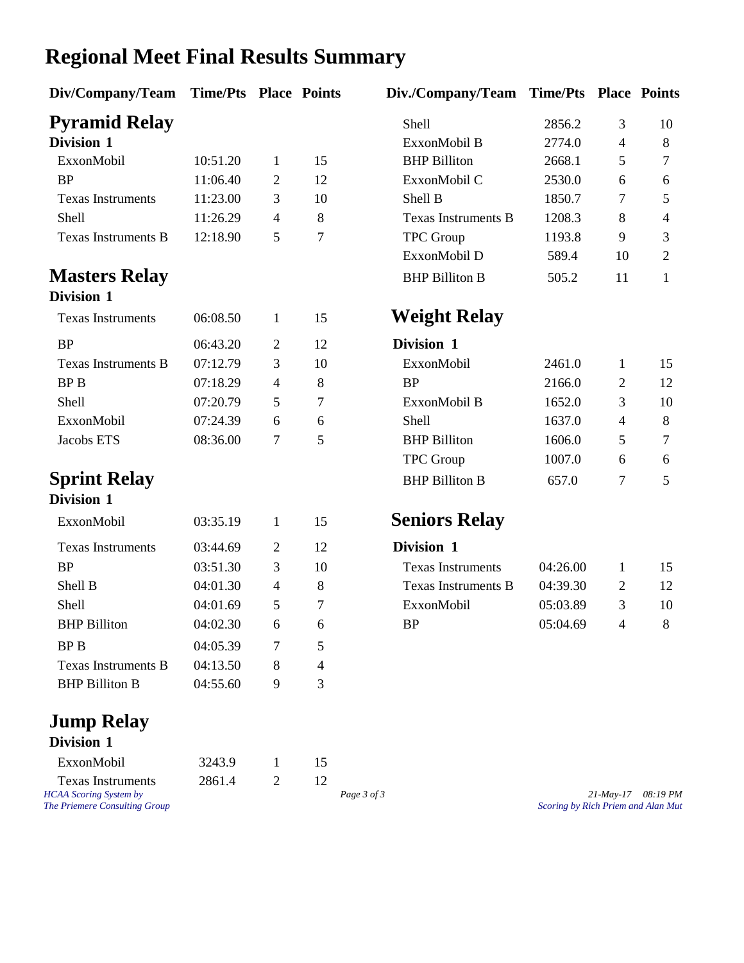### **Regional Meet Final Results Summary**

| Div/Company/Team           | <b>Time/Pts Place Points</b> |                |                | Div./Company/Team          | <b>Time/Pts Place Point</b> |                |                |
|----------------------------|------------------------------|----------------|----------------|----------------------------|-----------------------------|----------------|----------------|
| <b>Pyramid Relay</b>       |                              |                |                | Shell                      | 2856.2                      | 3              | 10             |
| Division 1                 |                              |                |                | ExxonMobil B               | 2774.0                      | $\overline{4}$ | 8              |
| ExxonMobil                 | 10:51.20                     | 1              | 15             | <b>BHP</b> Billiton        | 2668.1                      | 5              | $\tau$         |
| <b>BP</b>                  | 11:06.40                     | $\overline{2}$ | 12             | ExxonMobil C               | 2530.0                      | 6              | 6              |
| <b>Texas Instruments</b>   | 11:23.00                     | 3              | 10             | Shell B                    | 1850.7                      | $\tau$         | $\mathfrak{S}$ |
| Shell                      | 11:26.29                     | $\overline{4}$ | 8              | <b>Texas Instruments B</b> | 1208.3                      | 8              | 4              |
| <b>Texas Instruments B</b> | 12:18.90                     | 5              | $\overline{7}$ | <b>TPC</b> Group           | 1193.8                      | 9              | $\mathfrak{Z}$ |
|                            |                              |                |                | ExxonMobil D               | 589.4                       | 10             | $\overline{2}$ |
| <b>Masters Relay</b>       |                              |                |                | <b>BHP Billiton B</b>      | 505.2                       | 11             | $\mathbf{1}$   |
| Division 1                 |                              |                |                |                            |                             |                |                |
| <b>Texas Instruments</b>   | 06:08.50                     | $\mathbf{1}$   | 15             | <b>Weight Relay</b>        |                             |                |                |
| <b>BP</b>                  | 06:43.20                     | $\overline{2}$ | 12             | Division 1                 |                             |                |                |
| <b>Texas Instruments B</b> | 07:12.79                     | 3              | 10             | ExxonMobil                 | 2461.0                      | $\mathbf{1}$   | 15             |
| <b>BPB</b>                 | 07:18.29                     | $\overline{4}$ | 8              | <b>BP</b>                  | 2166.0                      | $\overline{2}$ | 12             |
| Shell                      | 07:20.79                     | 5              | $\overline{7}$ | ExxonMobil B               | 1652.0                      | 3              | 10             |
| ExxonMobil                 | 07:24.39                     | 6              | 6              | Shell                      | 1637.0                      | $\overline{4}$ | 8              |
| Jacobs ETS                 | 08:36.00                     | 7              | 5              | <b>BHP</b> Billiton        | 1606.0                      | 5              | $\overline{7}$ |
|                            |                              |                |                | <b>TPC</b> Group           | 1007.0                      | 6              | 6              |
| <b>Sprint Relay</b>        |                              |                |                | <b>BHP Billiton B</b>      | 657.0                       | $\overline{7}$ | 5              |
| Division 1                 |                              |                |                |                            |                             |                |                |
| ExxonMobil                 | 03:35.19                     | $\mathbf{1}$   | 15             | <b>Seniors Relay</b>       |                             |                |                |
| <b>Texas Instruments</b>   | 03:44.69                     | $\mathbf{2}$   | 12             | Division 1                 |                             |                |                |
| <b>BP</b>                  | 03:51.30                     | 3              | 10             | <b>Texas Instruments</b>   | 04:26.00                    | 1              | 15             |
| Shell B                    | 04:01.30                     | $\overline{4}$ | 8              | <b>Texas Instruments B</b> | 04:39.30                    | $\overline{2}$ | 12             |
| Shell                      | 04:01.69                     | 5              | $\tau$         | ExxonMobil                 | 05:03.89                    | 3              | 10             |
| <b>BHP Billiton</b>        | 04:02.30                     | 6              | 6              | <b>BP</b>                  | 05:04.69                    | $\overline{4}$ | 8              |
| <b>BPB</b>                 | 04:05.39                     | $\overline{7}$ | 5              |                            |                             |                |                |
| <b>Texas Instruments B</b> | 04:13.50                     | 8              | 4              |                            |                             |                |                |
| <b>BHP Billiton B</b>      | 04:55.60                     | 9              | 3              |                            |                             |                |                |

#### **Jump Relay Division 1**

| ExxonMobil                    | 3243.9 |             |                                    |
|-------------------------------|--------|-------------|------------------------------------|
| <b>Texas Instruments</b>      | 2861.4 |             |                                    |
| <b>HCAA</b> Scoring System by |        | Page 3 of 3 | $21$ -May-17 08:19 PM              |
| The Priemere Consulting Group |        |             | Scoring by Rich Priem and Alan Mut |

#### **Weight Relay**

#### **Division** 1

| ExxonMobil            | 2461.0 |                       | 15  |
|-----------------------|--------|-----------------------|-----|
| <b>BP</b>             | 2166.0 | $\mathcal{D}_{\cdot}$ | 12. |
| ExxonMobil B          | 1652.0 | 3                     | 10  |
| <b>Shell</b>          | 1637.0 |                       | 8   |
| <b>BHP</b> Billiton   | 1606.0 | 5                     |     |
| <b>TPC</b> Group      | 1007.0 | 6                     | 6   |
| <b>BHP Billiton B</b> | 657.0  |                       |     |

#### **Seniors Relay**

| Division 1               |          |   |     |
|--------------------------|----------|---|-----|
| <b>Texas Instruments</b> | 04:26.00 |   | 15. |
| Texas Instruments B      | 04:39.30 | 2 | 12. |
| ExxonMobil               | 05:03.89 | 3 | 10  |
| RÞ                       | 05:04.69 |   | x   |
|                          |          |   |     |

*The Priemere Consulting Group Scoring by Rich Priem and Alan Mut*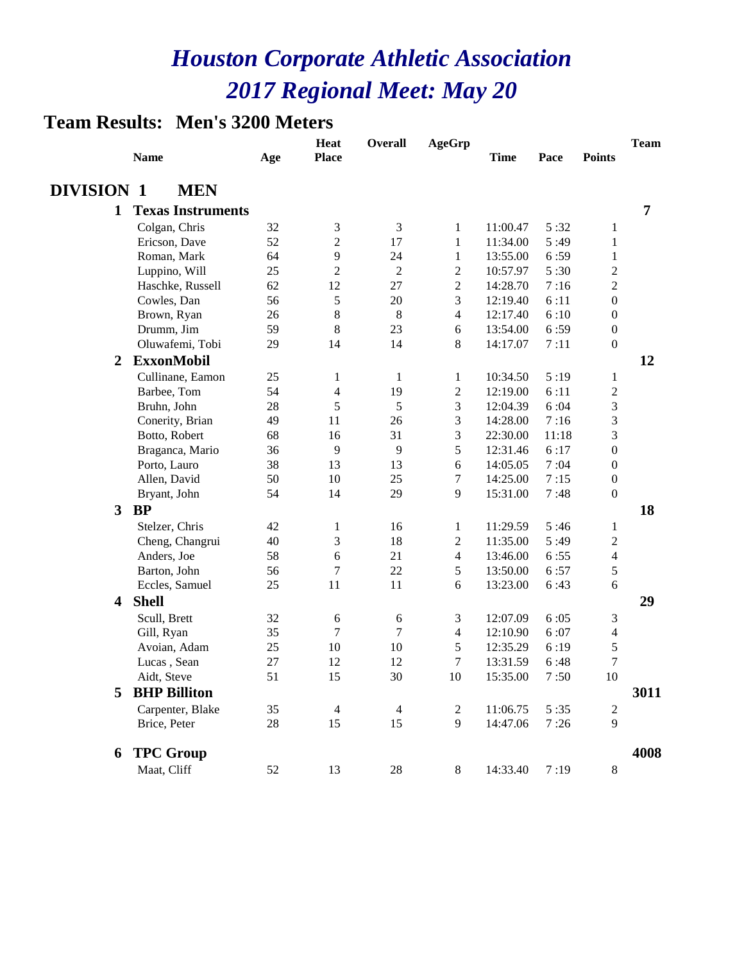#### **Team Results: Men's 3200 Meters**

|                   | <b>Name</b>              | Age      | <b>Heat</b><br><b>Place</b> | <b>Overall</b>      | <b>AgeGrp</b>  | <b>Time</b> | Pace  | <b>Points</b>                | <b>Team</b>    |
|-------------------|--------------------------|----------|-----------------------------|---------------------|----------------|-------------|-------|------------------------------|----------------|
| <b>DIVISION 1</b> | <b>MEN</b>               |          |                             |                     |                |             |       |                              |                |
| $\mathbf{1}$      | <b>Texas Instruments</b> |          |                             |                     |                |             |       |                              | $\overline{7}$ |
|                   | Colgan, Chris            | 32       | 3                           | 3                   | 1              | 11:00.47    | 5:32  | 1                            |                |
|                   | Ericson, Dave            | 52       | $\overline{c}$              | 17                  | 1              | 11:34.00    | 5:49  | 1                            |                |
|                   | Roman, Mark              | 64       | 9                           | 24                  | $\mathbf{1}$   | 13:55.00    | 6:59  | 1                            |                |
|                   | Luppino, Will            | 25       | $\overline{c}$              | $\overline{c}$      | $\overline{c}$ | 10:57.97    | 5:30  | $\overline{c}$               |                |
|                   | Haschke, Russell         | 62       | 12                          | 27                  | $\overline{2}$ | 14:28.70    | 7:16  | $\sqrt{2}$                   |                |
|                   | Cowles, Dan              | 56       | 5                           | 20                  | 3              | 12:19.40    | 6:11  | $\boldsymbol{0}$             |                |
|                   | Brown, Ryan              | 26       | 8                           | 8                   | 4              | 12:17.40    | 6:10  | $\boldsymbol{0}$             |                |
|                   | Drumm, Jim               | 59       | 8                           | 23                  | 6              | 13:54.00    | 6:59  | $\boldsymbol{0}$             |                |
|                   | Oluwafemi, Tobi          | 29       | 14                          | 14                  | 8              | 14:17.07    | 7:11  | $\boldsymbol{0}$             |                |
| $\overline{2}$    | <b>ExxonMobil</b>        |          |                             |                     |                |             |       |                              | 12             |
|                   | Cullinane, Eamon         | 25       | 1                           | $\mathbf{1}$        | 1              | 10:34.50    | 5:19  | 1                            |                |
|                   | Barbee, Tom              | 54       | $\overline{4}$              | 19                  | $\overline{c}$ | 12:19.00    | 6:11  | $\sqrt{2}$                   |                |
|                   | Bruhn, John              | 28       | 5                           | 5                   | 3              | 12:04.39    | 6:04  | $\mathfrak{Z}$               |                |
|                   | Conerity, Brian          | 49       | 11                          | 26                  | 3              | 14:28.00    | 7:16  | $\overline{3}$               |                |
|                   | Botto, Robert            | 68       | 16                          | 31                  | 3              | 22:30.00    | 11:18 | $\overline{3}$               |                |
|                   | Braganca, Mario          | 36       | 9                           | 9                   | 5              | 12:31.46    | 6:17  | $\boldsymbol{0}$             |                |
|                   | Porto, Lauro             | 38       | 13                          | 13                  | 6              | 14:05.05    | 7:04  | $\boldsymbol{0}$             |                |
|                   | Allen, David             | 50       | 10                          | 25                  | 7              | 14:25.00    | 7:15  | $\boldsymbol{0}$             |                |
|                   | Bryant, John             | 54       | 14                          | 29                  | 9              | 15:31.00    | 7:48  | $\boldsymbol{0}$             |                |
| $\mathbf{3}$      | <b>BP</b>                |          |                             |                     |                |             |       |                              | 18             |
|                   | Stelzer, Chris           | 42       | $\mathbf{1}$                | 16                  | 1              | 11:29.59    | 5:46  | 1                            |                |
|                   | Cheng, Changrui          | 40       | 3                           | 18                  | $\overline{c}$ | 11:35.00    | 5:49  | $\overline{c}$               |                |
|                   | Anders, Joe              | 58       | 6                           | 21                  | $\overline{4}$ | 13:46.00    | 6:55  | $\overline{4}$               |                |
|                   | Barton, John             | 56       | 7                           | 22                  | 5              | 13:50.00    | 6:57  | $\sqrt{5}$                   |                |
|                   | Eccles, Samuel           | 25       | 11                          | 11                  | 6              | 13:23.00    | 6:43  | 6                            |                |
|                   | 4 Shell                  |          |                             |                     |                |             |       |                              | 29             |
|                   |                          |          |                             |                     |                |             |       |                              |                |
|                   | Scull, Brett             | 32       | 6                           | 6<br>$\overline{7}$ | 3              | 12:07.09    | 6:05  | 3                            |                |
|                   | Gill, Ryan               | 35       | 7<br>10                     | 10                  | $\overline{4}$ | 12:10.90    | 6:07  | $\overline{4}$<br>$\sqrt{5}$ |                |
|                   | Avoian, Adam             | 25<br>27 | 12                          | 12                  | 5              | 12:35.29    | 6:19  |                              |                |
|                   | Lucas, Sean              | 51       | 15                          | 30                  | 7<br>10        | 13:31.59    | 6:48  | $\tau$<br>10                 |                |
|                   | Aidt, Steve              |          |                             |                     |                | 15:35.00    | 7:50  |                              |                |
| 5                 | <b>BHP Billiton</b>      |          |                             |                     |                |             |       |                              | 3011           |
|                   | Carpenter, Blake         | 35       | 4                           | $\overline{4}$      | $\overline{2}$ | 11:06.75    | 5:35  | $\overline{c}$               |                |
|                   | Brice, Peter             | 28       | 15                          | 15                  | 9              | 14:47.06    | 7:26  | 9                            |                |
| 6                 | <b>TPC Group</b>         |          |                             |                     |                |             |       |                              | 4008           |
|                   | Maat, Cliff              | 52       | 13                          | $28\,$              | $8\,$          | 14:33.40    | 7:19  | $\,8\,$                      |                |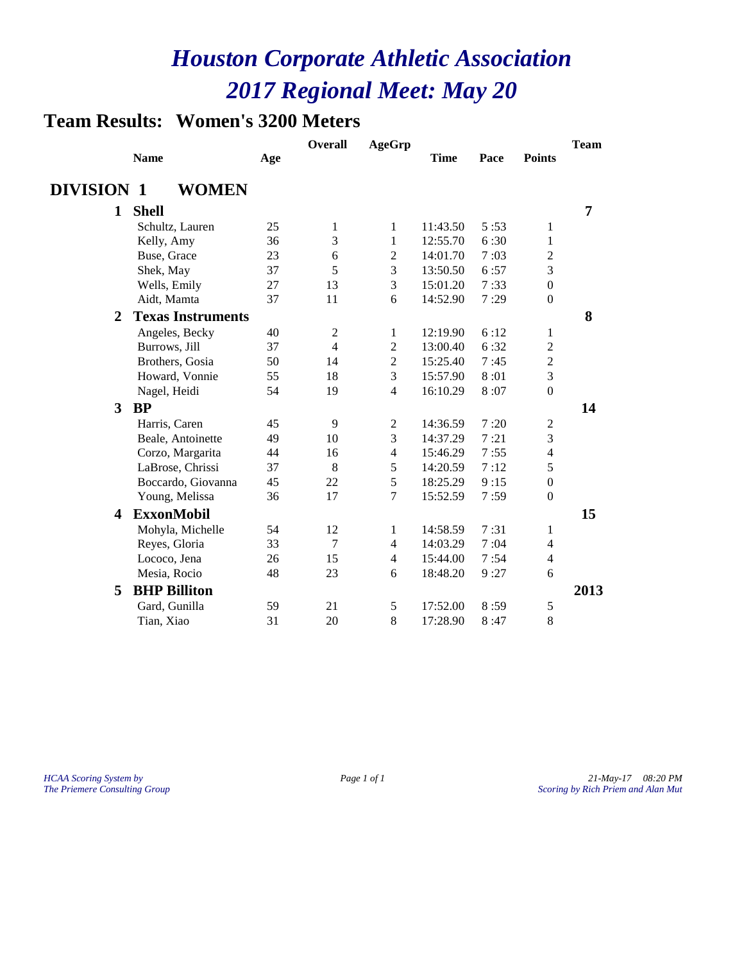### **Team Results: Women's 3200 Meters**

|                   |                          |     | <b>Overall</b> | <b>AgeGrp</b>  |             |      |                  | <b>Team</b> |
|-------------------|--------------------------|-----|----------------|----------------|-------------|------|------------------|-------------|
|                   | <b>Name</b>              | Age |                |                | <b>Time</b> | Pace | <b>Points</b>    |             |
| <b>DIVISION 1</b> | <b>WOMEN</b>             |     |                |                |             |      |                  |             |
| $\mathbf{1}$      | <b>Shell</b>             |     |                |                |             |      |                  | 7           |
|                   | Schultz, Lauren          | 25  | 1              | 1              | 11:43.50    | 5:53 | 1                |             |
|                   | Kelly, Amy               | 36  | 3              | $\mathbf{1}$   | 12:55.70    | 6:30 | $\mathbf{1}$     |             |
|                   | Buse, Grace              | 23  | 6              | $\overline{c}$ | 14:01.70    | 7:03 | $\overline{c}$   |             |
|                   | Shek, May                | 37  | 5              | 3              | 13:50.50    | 6:57 | $\mathfrak{Z}$   |             |
|                   | Wells, Emily             | 27  | 13             | 3              | 15:01.20    | 7:33 | $\boldsymbol{0}$ |             |
|                   | Aidt, Mamta              | 37  | 11             | 6              | 14:52.90    | 7:29 | $\boldsymbol{0}$ |             |
| $\mathbf{2}$      | <b>Texas Instruments</b> |     |                |                |             |      |                  | 8           |
|                   | Angeles, Becky           | 40  | $\overline{c}$ | 1              | 12:19.90    | 6:12 | 1                |             |
|                   | Burrows, Jill            | 37  | $\overline{4}$ | $\overline{2}$ | 13:00.40    | 6:32 | $\overline{2}$   |             |
|                   | Brothers, Gosia          | 50  | 14             | $\overline{2}$ | 15:25.40    | 7:45 | $\sqrt{2}$       |             |
|                   | Howard, Vonnie           | 55  | 18             | 3              | 15:57.90    | 8:01 | 3                |             |
|                   | Nagel, Heidi             | 54  | 19             | $\overline{4}$ | 16:10.29    | 8:07 | $\overline{0}$   |             |
| 3                 | <b>BP</b>                |     |                |                |             |      |                  | 14          |
|                   | Harris, Caren            | 45  | 9              | $\overline{c}$ | 14:36.59    | 7:20 | $\mathfrak 2$    |             |
|                   | Beale, Antoinette        | 49  | 10             | 3              | 14:37.29    | 7:21 | $\mathfrak{Z}$   |             |
|                   | Corzo, Margarita         | 44  | 16             | $\overline{4}$ | 15:46.29    | 7:55 | $\overline{4}$   |             |
|                   | LaBrose, Chrissi         | 37  | 8              | 5              | 14:20.59    | 7:12 | 5                |             |
|                   | Boccardo, Giovanna       | 45  | 22             | 5              | 18:25.29    | 9:15 | $\mathbf{0}$     |             |
|                   | Young, Melissa           | 36  | 17             | 7              | 15:52.59    | 7:59 | $\theta$         |             |
| 4                 | <b>ExxonMobil</b>        |     |                |                |             |      |                  | 15          |
|                   | Mohyla, Michelle         | 54  | 12             | 1              | 14:58.59    | 7:31 | 1                |             |
|                   | Reyes, Gloria            | 33  | 7              | $\overline{4}$ | 14:03.29    | 7:04 | 4                |             |
|                   | Lococo, Jena             | 26  | 15             | $\overline{4}$ | 15:44.00    | 7:54 | 4                |             |
|                   | Mesia, Rocio             | 48  | 23             | 6              | 18:48.20    | 9:27 | 6                |             |
| 5                 | <b>BHP Billiton</b>      |     |                |                |             |      |                  | 2013        |
|                   | Gard, Gunilla            | 59  | 21             | 5              | 17:52.00    | 8:59 | $\mathfrak s$    |             |
|                   | Tian, Xiao               | 31  | 20             | 8              | 17:28.90    | 8:47 | 8                |             |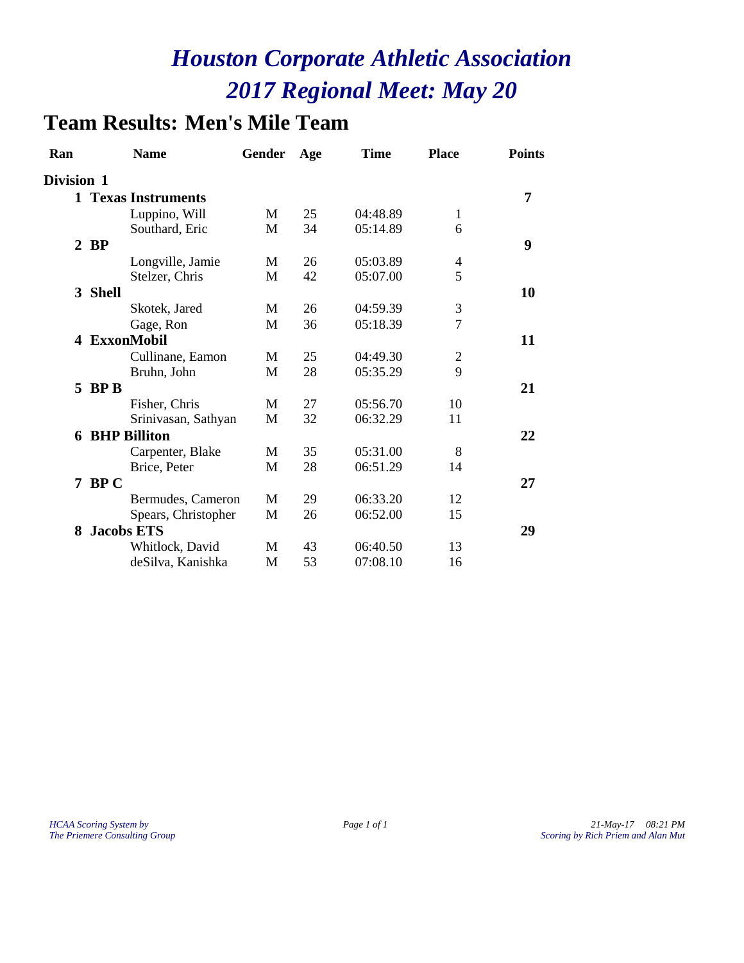### **Team Results: Men's Mile Team**

| Ran               | <b>Name</b>           | Gender | Age | <b>Time</b> | <b>Place</b>   | <b>Points</b> |
|-------------------|-----------------------|--------|-----|-------------|----------------|---------------|
| <b>Division 1</b> |                       |        |     |             |                |               |
|                   | 1 Texas Instruments   |        |     |             |                | 7             |
|                   | Luppino, Will         | M      | 25  | 04:48.89    | 1              |               |
|                   | Southard, Eric        | M      | 34  | 05:14.89    | 6              |               |
|                   | $2$ BP                |        |     |             |                | 9             |
|                   | Longville, Jamie      | M      | 26  | 05:03.89    | 4              |               |
|                   | Stelzer, Chris        | M      | 42  | 05:07.00    | 5              |               |
|                   | 3 Shell               |        |     |             |                | 10            |
|                   | Skotek, Jared         | M      | 26  | 04:59.39    | $\mathfrak{Z}$ |               |
|                   | Gage, Ron             | M      | 36  | 05:18.39    | $\overline{7}$ |               |
| 4                 | <b>ExxonMobil</b>     |        |     |             |                | 11            |
|                   | Cullinane, Eamon      | M      | 25  | 04:49.30    | $\overline{2}$ |               |
|                   | Bruhn, John           | M      | 28  | 05:35.29    | 9              |               |
|                   | $5$ BP B              |        |     |             |                | 21            |
|                   | Fisher, Chris         | M      | 27  | 05:56.70    | 10             |               |
|                   | Srinivasan, Sathyan   | M      | 32  | 06:32.29    | 11             |               |
|                   | <b>6 BHP Billiton</b> |        |     |             |                | 22            |
|                   | Carpenter, Blake      | M      | 35  | 05:31.00    | 8              |               |
|                   | Brice, Peter          | M      | 28  | 06:51.29    | 14             |               |
|                   | 7 BPC                 |        |     |             |                | 27            |
|                   | Bermudes, Cameron     | M      | 29  | 06:33.20    | 12             |               |
|                   | Spears, Christopher   | M      | 26  | 06:52.00    | 15             |               |
| 8                 | <b>Jacobs ETS</b>     |        |     |             |                | 29            |
|                   | Whitlock, David       | M      | 43  | 06:40.50    | 13             |               |
|                   | deSilva, Kanishka     | M      | 53  | 07:08.10    | 16             |               |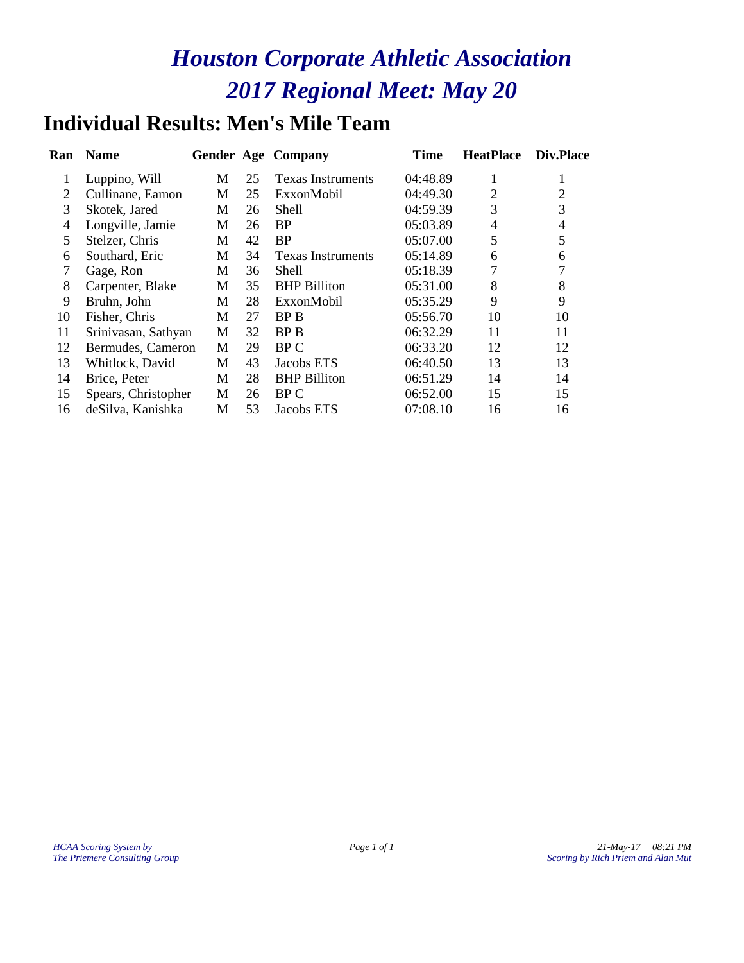### **Individual Results: Men's Mile Team**

| Ran            | <b>Name</b>         |   |    | <b>Gender Age Company</b> | Time     | <b>HeatPlace</b> | Div.Place |
|----------------|---------------------|---|----|---------------------------|----------|------------------|-----------|
| 1              | Luppino, Will       | М | 25 | <b>Texas Instruments</b>  | 04:48.89 | 1                |           |
| 2              | Cullinane, Eamon    | M | 25 | ExxonMobil                | 04:49.30 | $\overline{2}$   | 2         |
| 3              | Skotek, Jared       | М | 26 | <b>Shell</b>              | 04:59.39 | 3                | 3         |
| $\overline{4}$ | Longville, Jamie    | М | 26 | <b>BP</b>                 | 05:03.89 | $\overline{4}$   | 4         |
| 5              | Stelzer, Chris      | М | 42 | <b>BP</b>                 | 05:07.00 | 5                | 5         |
| 6              | Southard, Eric      | М | 34 | <b>Texas Instruments</b>  | 05:14.89 | 6                | 6         |
| 7              | Gage, Ron           | M | 36 | Shell                     | 05:18.39 | 7                |           |
| 8              | Carpenter, Blake    | M | 35 | <b>BHP</b> Billiton       | 05:31.00 | 8                | 8         |
| 9              | Bruhn, John         | М | 28 | ExxonMobil                | 05:35.29 | 9                | 9         |
| 10             | Fisher, Chris       | M | 27 | BP B                      | 05:56.70 | 10               | 10        |
| 11             | Srinivasan, Sathyan | M | 32 | <b>BPB</b>                | 06:32.29 | 11               | 11        |
| 12             | Bermudes, Cameron   | M | 29 | BP C                      | 06:33.20 | 12               | 12        |
| 13             | Whitlock, David     | М | 43 | Jacobs ETS                | 06:40.50 | 13               | 13        |
| 14             | Brice, Peter        | М | 28 | <b>BHP</b> Billiton       | 06:51.29 | 14               | 14        |
| 15             | Spears, Christopher | M | 26 | BP C                      | 06:52.00 | 15               | 15        |
| 16             | deSilva, Kanishka   | M | 53 | Jacobs ETS                | 07:08.10 | 16               | 16        |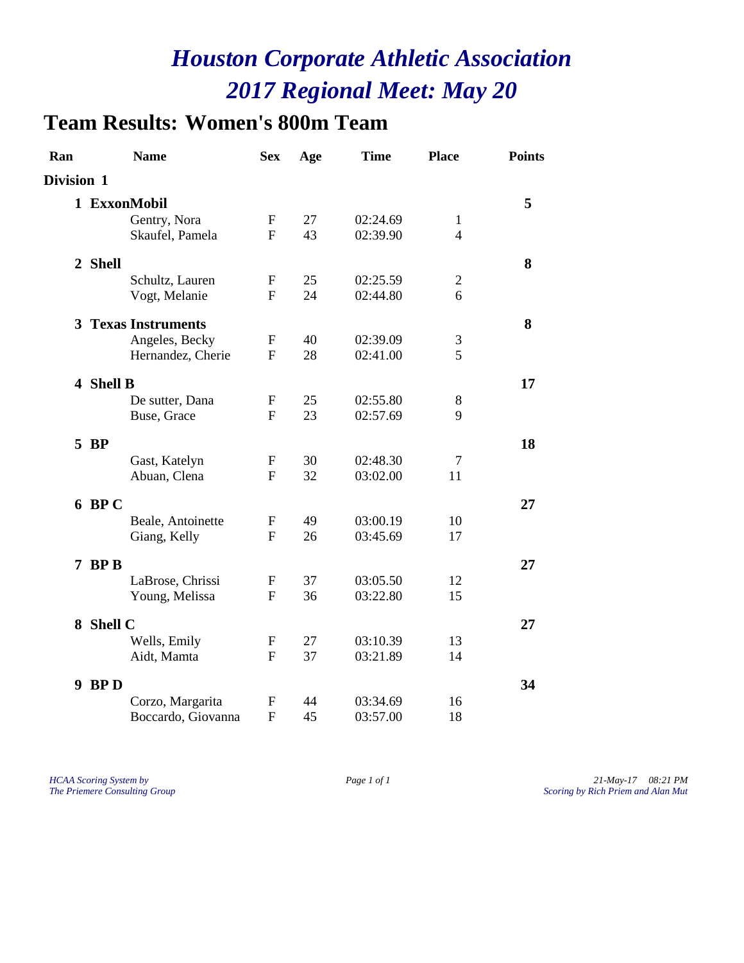### **Team Results: Women's 800m Team**

| Ran        | <b>Name</b>                | <b>Sex</b>   | Age | <b>Time</b> | <b>Place</b>   | <b>Points</b> |
|------------|----------------------------|--------------|-----|-------------|----------------|---------------|
| Division 1 |                            |              |     |             |                |               |
|            | 1 ExxonMobil               |              |     |             |                | 5             |
|            | Gentry, Nora               | F            | 27  | 02:24.69    | $\mathbf{1}$   |               |
|            | Skaufel, Pamela            | F            | 43  | 02:39.90    | $\overline{4}$ |               |
| 2 Shell    |                            |              |     |             |                | 8             |
|            | Schultz, Lauren            | F            | 25  | 02:25.59    | $\overline{c}$ |               |
|            | Vogt, Melanie              | $\mathbf{F}$ | 24  | 02:44.80    | 6              |               |
|            | <b>3 Texas Instruments</b> |              |     |             |                | 8             |
|            | Angeles, Becky             | F            | 40  | 02:39.09    | 3              |               |
|            | Hernandez, Cherie          | $\mathbf{F}$ | 28  | 02:41.00    | 5              |               |
| 4 Shell B  |                            |              |     |             |                | 17            |
|            | De sutter, Dana            | $\mathbf F$  | 25  | 02:55.80    | 8              |               |
|            | Buse, Grace                | $\mathbf{F}$ | 23  | 02:57.69    | 9              |               |
| 5 BP       |                            |              |     |             |                | 18            |
|            | Gast, Katelyn              | F            | 30  | 02:48.30    | 7              |               |
|            | Abuan, Clena               | $\mathbf{F}$ | 32  | 03:02.00    | 11             |               |
| $6$ BP C   |                            |              |     |             |                | 27            |
|            | Beale, Antoinette          | $\mathbf{F}$ | 49  | 03:00.19    | 10             |               |
|            | Giang, Kelly               | F            | 26  | 03:45.69    | 17             |               |
| 7 BP B     |                            |              |     |             |                | 27            |
|            | LaBrose, Chrissi           | F            | 37  | 03:05.50    | 12             |               |
|            | Young, Melissa             | $\mathbf{F}$ | 36  | 03:22.80    | 15             |               |
| 8 Shell C  |                            |              |     |             |                | 27            |
|            | Wells, Emily               | $\mathbf{F}$ | 27  | 03:10.39    | 13             |               |
|            | Aidt, Mamta                | F            | 37  | 03:21.89    | 14             |               |
| 9 BP D     |                            |              |     |             |                | 34            |
|            | Corzo, Margarita           | F            | 44  | 03:34.69    | 16             |               |
|            | Boccardo, Giovanna         | $\mathbf{F}$ | 45  | 03:57.00    | 18             |               |

*HCAA Scoring System by Page 1 of 1 21-May-17 08:21 PM The Priemere Consulting Group Scoring by Rich Priem and Alan Mut*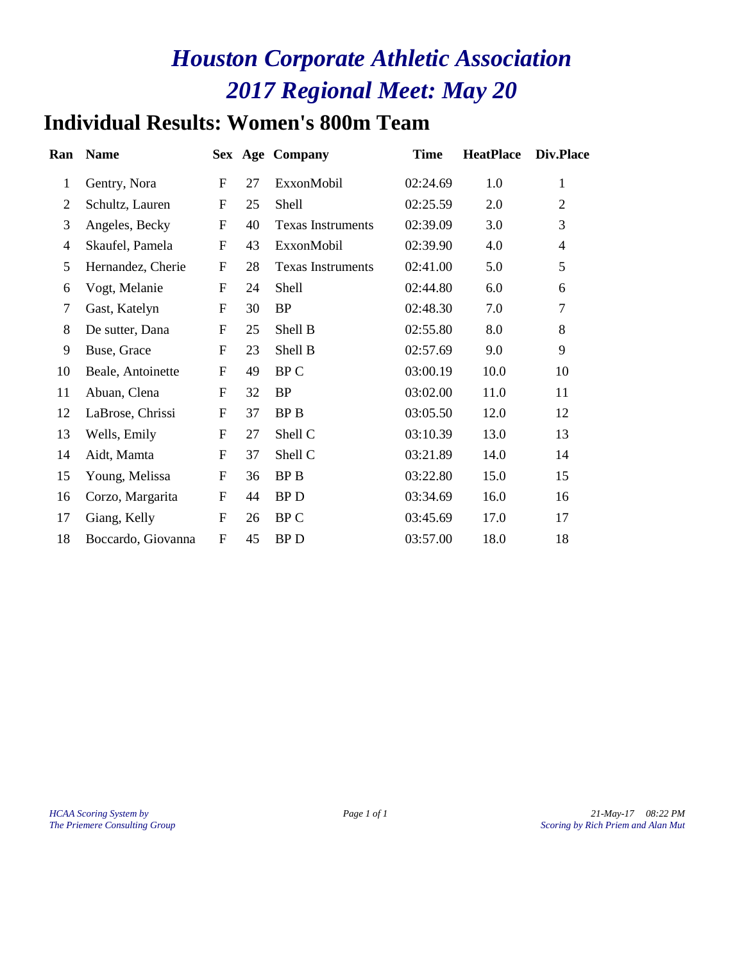### **Individual Results: Women's 800m Team**

| Ran            | <b>Name</b>        |              |    | Sex Age Company          | <b>Time</b> | <b>HeatPlace</b> | Div.Place      |
|----------------|--------------------|--------------|----|--------------------------|-------------|------------------|----------------|
| $\mathbf{1}$   | Gentry, Nora       | F            | 27 | ExxonMobil               | 02:24.69    | 1.0              | 1              |
| $\overline{2}$ | Schultz, Lauren    | $\mathbf{F}$ | 25 | <b>Shell</b>             | 02:25.59    | 2.0              | $\overline{2}$ |
| 3              | Angeles, Becky     | $\mathbf{F}$ | 40 | <b>Texas Instruments</b> | 02:39.09    | 3.0              | 3              |
| $\overline{4}$ | Skaufel, Pamela    | $\mathbf{F}$ | 43 | ExxonMobil               | 02:39.90    | 4.0              | $\overline{4}$ |
| 5              | Hernandez, Cherie  | $\mathbf{F}$ | 28 | <b>Texas Instruments</b> | 02:41.00    | 5.0              | 5              |
| 6              | Vogt, Melanie      | F            | 24 | Shell                    | 02:44.80    | 6.0              | 6              |
| $\tau$         | Gast, Katelyn      | $\mathbf{F}$ | 30 | <b>BP</b>                | 02:48.30    | 7.0              | $\overline{7}$ |
| 8              | De sutter, Dana    | F            | 25 | Shell B                  | 02:55.80    | 8.0              | 8              |
| 9              | Buse, Grace        | $\mathbf{F}$ | 23 | Shell B                  | 02:57.69    | 9.0              | 9              |
| 10             | Beale, Antoinette  | F            | 49 | BP C                     | 03:00.19    | 10.0             | 10             |
| 11             | Abuan, Clena       | $\mathbf{F}$ | 32 | <b>BP</b>                | 03:02.00    | 11.0             | 11             |
| 12             | LaBrose, Chrissi   | ${\rm F}$    | 37 | BP B                     | 03:05.50    | 12.0             | 12             |
| 13             | Wells, Emily       | $\mathbf{F}$ | 27 | Shell C                  | 03:10.39    | 13.0             | 13             |
| 14             | Aidt, Mamta        | $\mathbf{F}$ | 37 | Shell C                  | 03:21.89    | 14.0             | 14             |
| 15             | Young, Melissa     | $\mathbf{F}$ | 36 | BP B                     | 03:22.80    | 15.0             | 15             |
| 16             | Corzo, Margarita   | ${\bf F}$    | 44 | <b>BPD</b>               | 03:34.69    | 16.0             | 16             |
| 17             | Giang, Kelly       | F            | 26 | BP C                     | 03:45.69    | 17.0             | 17             |
| 18             | Boccardo, Giovanna | F            | 45 | <b>BPD</b>               | 03:57.00    | 18.0             | 18             |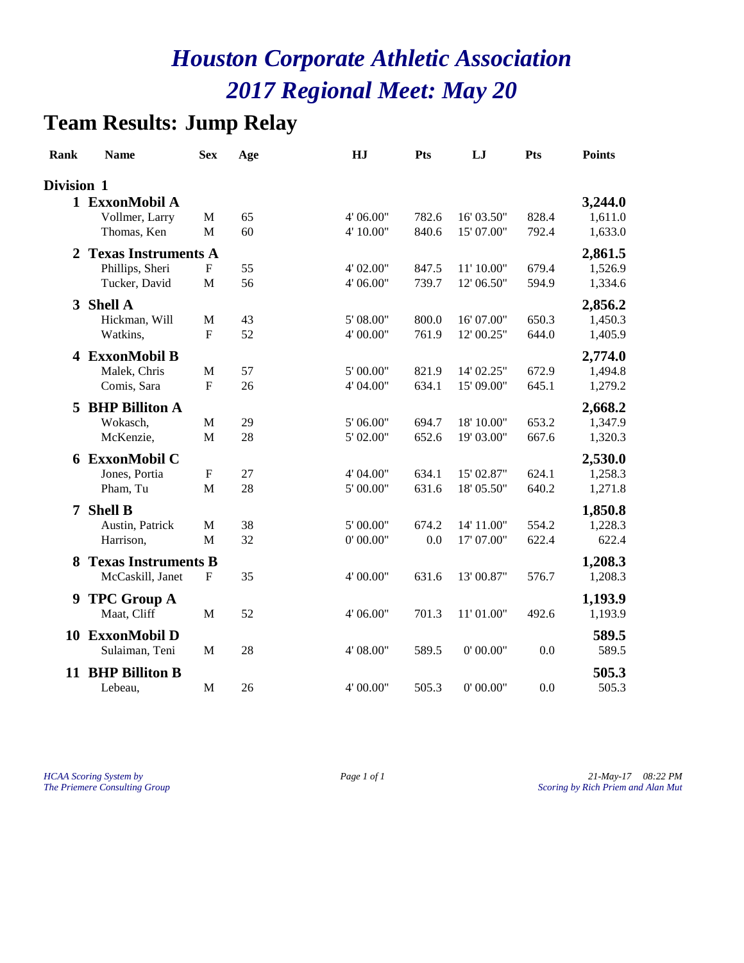### **Team Results: Jump Relay**

| Rank              | <b>Name</b>                                    | <b>Sex</b>                  | Age      | HJ                     | <b>Pts</b>     | LJ                       | Pts            | <b>Points</b>      |
|-------------------|------------------------------------------------|-----------------------------|----------|------------------------|----------------|--------------------------|----------------|--------------------|
| <b>Division 1</b> |                                                |                             |          |                        |                |                          |                |                    |
|                   | 1 ExxonMobil A                                 |                             |          |                        |                |                          |                | 3,244.0            |
|                   | Vollmer, Larry<br>Thomas, Ken                  | $\mathbf M$<br>M            | 65<br>60 | 4' 06.00"<br>4' 10.00" | 782.6<br>840.6 | 16' 03.50"<br>15' 07.00" | 828.4<br>792.4 | 1,611.0<br>1,633.0 |
| 2                 | <b>Texas Instruments A</b>                     |                             |          |                        |                |                          |                | 2,861.5            |
|                   | Phillips, Sheri<br>Tucker, David               | ${\bf F}$<br>$\mathbf M$    | 55<br>56 | 4' 02.00"<br>4' 06.00" | 847.5<br>739.7 | 11' 10.00"<br>12' 06.50" | 679.4<br>594.9 | 1,526.9<br>1,334.6 |
| 3                 | <b>Shell A</b>                                 |                             |          |                        |                |                          |                | 2,856.2            |
|                   | Hickman, Will<br>Watkins,                      | M<br>$\mathbf{F}$           | 43<br>52 | 5' 08.00"<br>4' 00.00" | 800.0<br>761.9 | 16' 07.00"<br>12'00.25"  | 650.3<br>644.0 | 1,450.3<br>1,405.9 |
|                   | 4 ExxonMobil B                                 |                             |          |                        |                |                          |                | 2,774.0            |
|                   | Malek, Chris<br>Comis, Sara                    | $\mathbf M$<br>$\mathbf{F}$ | 57<br>26 | 5' 00.00"<br>4' 04.00" | 821.9<br>634.1 | 14' 02.25"<br>15' 09.00" | 672.9<br>645.1 | 1,494.8<br>1,279.2 |
| 5                 | <b>BHP Billiton A</b>                          |                             |          |                        |                |                          |                | 2,668.2            |
|                   | Wokasch,                                       | $\mathbf M$                 | 29       | 5' 06.00"              | 694.7          | 18' 10.00"               | 653.2          | 1,347.9            |
|                   | McKenzie,                                      | M                           | 28       | 5' 02.00"              | 652.6          | 19' 03.00"               | 667.6          | 1,320.3            |
|                   | 6 ExxonMobil C                                 |                             |          |                        |                |                          |                | 2,530.0            |
|                   | Jones, Portia                                  | $\boldsymbol{\mathrm{F}}$   | 27       | 4' 04.00"              | 634.1          | 15' 02.87"               | 624.1          | 1,258.3            |
|                   | Pham, Tu                                       | M                           | 28       | $5^{\circ}$ 00.00"     | 631.6          | 18' 05.50"               | 640.2          | 1,271.8            |
| 7                 | <b>Shell B</b>                                 |                             |          |                        |                |                          |                | 1,850.8            |
|                   | Austin, Patrick<br>Harrison,                   | M<br>M                      | 38<br>32 | 5' 00.00"<br>0' 00.00" | 674.2<br>0.0   | 14' 11.00"<br>17' 07.00" | 554.2<br>622.4 | 1,228.3<br>622.4   |
|                   |                                                |                             |          |                        |                |                          |                |                    |
| 8                 | <b>Texas Instruments B</b><br>McCaskill, Janet | $\mathbf F$                 | 35       | 4' 00.00"              | 631.6          | 13'00.87"                | 576.7          | 1,208.3<br>1,208.3 |
| 9                 | <b>TPC Group A</b>                             |                             |          |                        |                |                          |                | 1,193.9            |
|                   | Maat, Cliff                                    | $\mathbf M$                 | 52       | 4' 06.00"              | 701.3          | 11'01.00"                | 492.6          | 1,193.9            |
| 10                | <b>ExxonMobil D</b><br>Sulaiman, Teni          | $\mathbf M$                 | 28       | 4' 08.00"              | 589.5          | 0' 00.00"                | 0.0            | 589.5<br>589.5     |
| 11                | <b>BHP Billiton B</b>                          |                             |          |                        |                |                          |                | 505.3              |
|                   | Lebeau,                                        | $\mathbf M$                 | 26       | 4' 00.00"              | 505.3          | 0'00.00"                 | 0.0            | 505.3              |

*HCAA Scoring System by Page 1 of 1 21-May-17 08:22 PM The Priemere Consulting Group Scoring by Rich Priem and Alan Mut*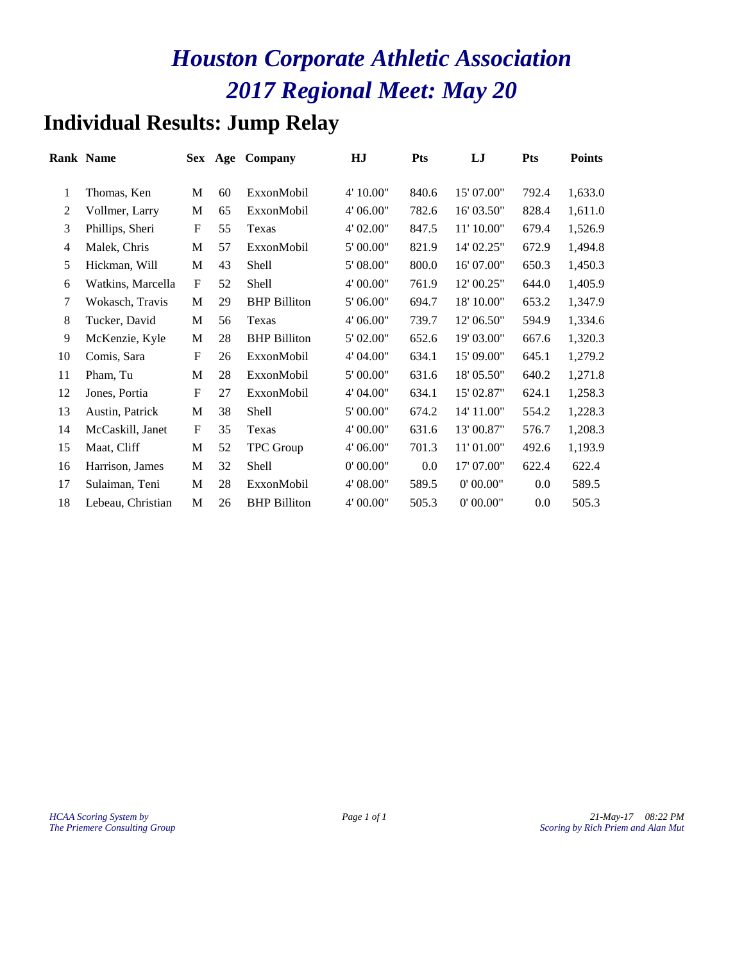### **Individual Results: Jump Relay**

|                | <b>Rank Name</b>  |                           | Sex Age | Company             | HJ        | <b>Pts</b> | LJ         | <b>Pts</b> | <b>Points</b> |
|----------------|-------------------|---------------------------|---------|---------------------|-----------|------------|------------|------------|---------------|
| 1              | Thomas, Ken       | M                         | 60      | ExxonMobil          | 4' 10.00" | 840.6      | 15' 07.00" | 792.4      | 1,633.0       |
| 2              | Vollmer, Larry    | M                         | 65      | ExxonMobil          | 4' 06.00" | 782.6      | 16' 03.50" | 828.4      | 1,611.0       |
| 3              | Phillips, Sheri   | $\boldsymbol{\mathrm{F}}$ | 55      | Texas               | 4' 02.00" | 847.5      | 11' 10.00" | 679.4      | 1,526.9       |
| $\overline{4}$ | Malek, Chris      | М                         | 57      | ExxonMobil          | 5' 00.00" | 821.9      | 14' 02.25" | 672.9      | 1,494.8       |
| 5              | Hickman, Will     | M                         | 43      | Shell               | 5' 08.00" | 800.0      | 16' 07.00" | 650.3      | 1,450.3       |
| 6              | Watkins, Marcella | $\mathbf F$               | 52      | Shell               | 4' 00.00" | 761.9      | 12' 00.25" | 644.0      | 1,405.9       |
| 7              | Wokasch, Travis   | M                         | 29      | <b>BHP Billiton</b> | 5' 06.00" | 694.7      | 18' 10.00" | 653.2      | 1,347.9       |
| 8              | Tucker, David     | M                         | 56      | Texas               | 4' 06.00" | 739.7      | 12' 06.50" | 594.9      | 1,334.6       |
| 9              | McKenzie, Kyle    | M                         | 28      | <b>BHP Billiton</b> | 5' 02.00" | 652.6      | 19' 03.00" | 667.6      | 1,320.3       |
| 10             | Comis, Sara       | $\mathbf F$               | 26      | ExxonMobil          | 4' 04.00" | 634.1      | 15' 09.00" | 645.1      | 1,279.2       |
| 11             | Pham, Tu          | M                         | 28      | ExxonMobil          | 5' 00.00" | 631.6      | 18' 05.50" | 640.2      | 1,271.8       |
| 12             | Jones, Portia     | $\boldsymbol{\mathrm{F}}$ | 27      | ExxonMobil          | 4' 04.00" | 634.1      | 15' 02.87" | 624.1      | 1,258.3       |
| 13             | Austin, Patrick   | M                         | 38      | Shell               | 5' 00.00" | 674.2      | 14' 11.00" | 554.2      | 1,228.3       |
| 14             | McCaskill, Janet  | F                         | 35      | Texas               | 4' 00.00" | 631.6      | 13' 00.87" | 576.7      | 1,208.3       |
| 15             | Maat, Cliff       | M                         | 52      | <b>TPC</b> Group    | 4' 06.00" | 701.3      | 11' 01.00" | 492.6      | 1,193.9       |
| 16             | Harrison, James   | M                         | 32      | Shell               | 0' 00.00" | $0.0\,$    | 17' 07.00" | 622.4      | 622.4         |
| 17             | Sulaiman, Teni    | M                         | 28      | ExxonMobil          | 4' 08.00" | 589.5      | 0' 00.00"  | $0.0\,$    | 589.5         |
| 18             | Lebeau, Christian | M                         | 26      | <b>BHP</b> Billiton | 4' 00.00" | 505.3      | 0' 00.00"  | $0.0\,$    | 505.3         |
|                |                   |                           |         |                     |           |            |            |            |               |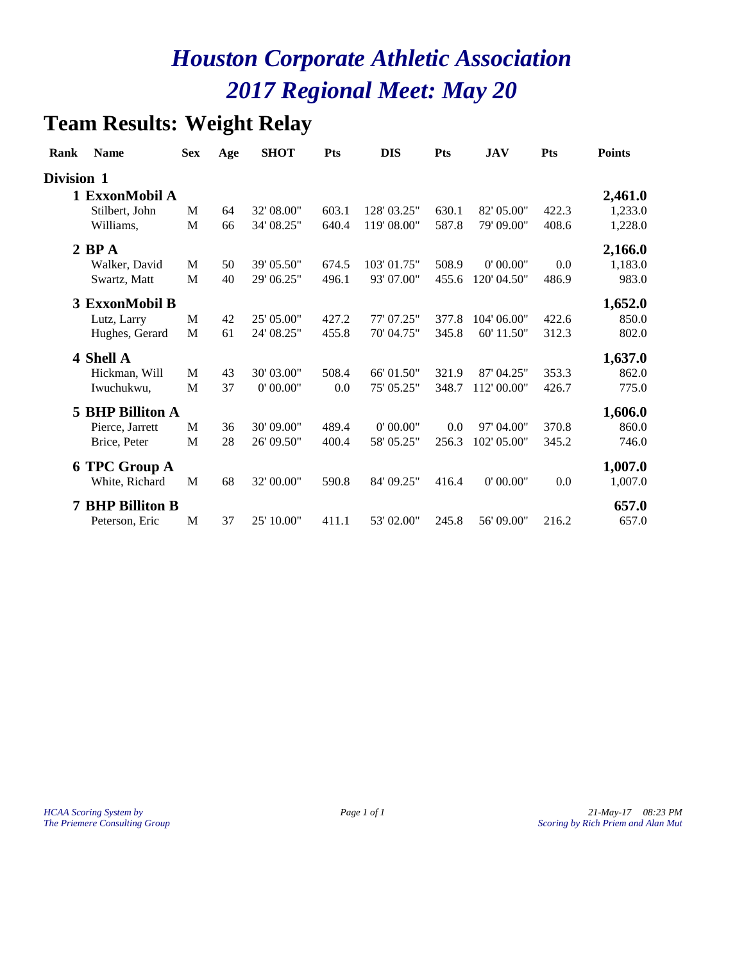### **Team Results: Weight Relay**

| Rank       | <b>Name</b>             | <b>Sex</b> | Age | <b>SHOT</b> | <b>Pts</b> | <b>DIS</b>  | <b>Pts</b> | <b>JAV</b>  | <b>Pts</b> | <b>Points</b> |
|------------|-------------------------|------------|-----|-------------|------------|-------------|------------|-------------|------------|---------------|
| Division 1 |                         |            |     |             |            |             |            |             |            |               |
|            | 1 ExxonMobil A          |            |     |             |            |             |            |             |            | 2,461.0       |
|            | Stilbert, John          | M          | 64  | 32' 08.00"  | 603.1      | 128' 03.25" | 630.1      | 82' 05.00"  | 422.3      | 1,233.0       |
|            | Williams,               | M          | 66  | 34' 08.25"  | 640.4      | 119' 08.00" | 587.8      | 79' 09.00"  | 408.6      | 1,228.0       |
|            | $2$ BP $A$              |            |     |             |            |             |            |             |            | 2,166.0       |
|            | Walker, David           | M          | 50  | 39' 05.50"  | 674.5      | 103' 01.75" | 508.9      | 0'00.00"    | 0.0        | 1,183.0       |
|            | Swartz, Matt            | M          | 40  | 29' 06.25"  | 496.1      | 93'07.00"   | 455.6      | 120' 04.50" | 486.9      | 983.0         |
|            | 3 ExxonMobil B          |            |     |             |            |             |            |             |            | 1,652.0       |
|            | Lutz, Larry             | M          | 42  | 25' 05.00"  | 427.2      | 77' 07.25"  | 377.8      | 104' 06.00" | 422.6      | 850.0         |
|            | Hughes, Gerard          | M          | 61  | 24' 08.25"  | 455.8      | 70'04.75"   | 345.8      | 60' 11.50"  | 312.3      | 802.0         |
|            | 4 Shell A               |            |     |             |            |             |            |             |            | 1,637.0       |
|            | Hickman, Will           | M          | 43  | 30' 03.00"  | 508.4      | 66' 01.50"  | 321.9      | 87' 04.25"  | 353.3      | 862.0         |
|            | Iwuchukwu,              | M          | 37  | 0' 00.00"   | 0.0        | 75' 05.25"  | 348.7      | 112'00.00"  | 426.7      | 775.0         |
| 5          | <b>BHP Billiton A</b>   |            |     |             |            |             |            |             |            | 1,606.0       |
|            | Pierce, Jarrett         | M          | 36  | 30' 09.00"  | 489.4      | 0'00.00"    | 0.0        | 97' 04.00"  | 370.8      | 860.0         |
|            | Brice, Peter            | M          | 28  | 26' 09.50"  | 400.4      | 58' 05.25"  | 256.3      | 102' 05.00" | 345.2      | 746.0         |
|            | <b>6 TPC Group A</b>    |            |     |             |            |             |            |             |            | 1,007.0       |
|            | White, Richard          | M          | 68  | 32' 00.00"  | 590.8      | 84' 09.25"  | 416.4      | 0'00.00"    | 0.0        | 1,007.0       |
|            | <b>7 BHP Billiton B</b> |            |     |             |            |             |            |             |            | 657.0         |
|            | Peterson, Eric          | M          | 37  | 25' 10.00"  | 411.1      | 53' 02.00"  | 245.8      | 56' 09.00"  | 216.2      | 657.0         |